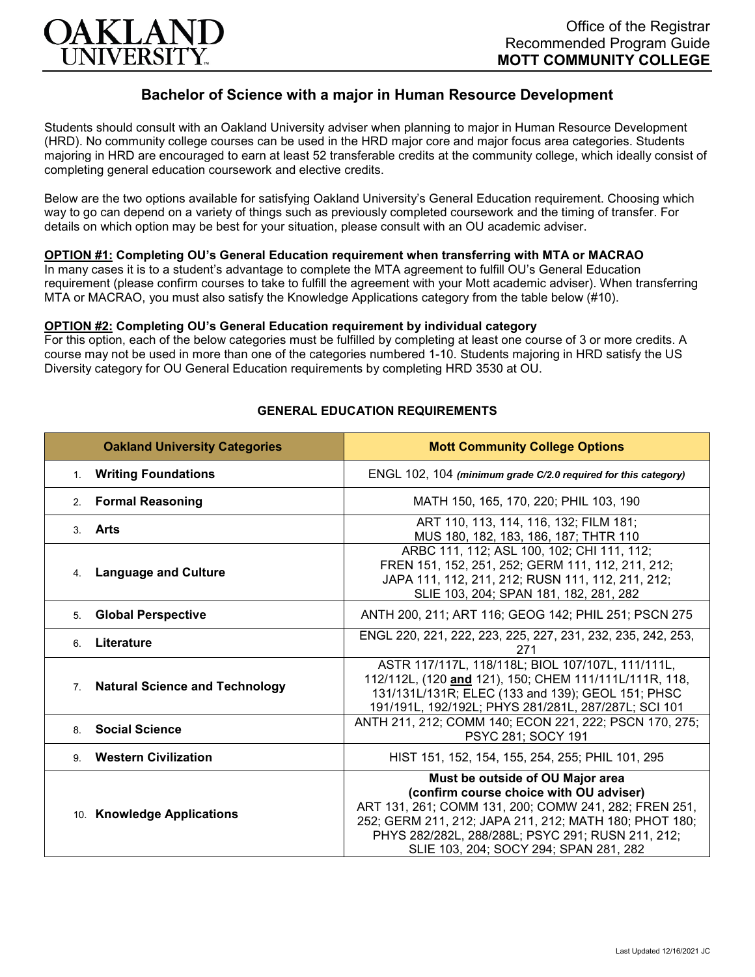

# **Bachelor of Science with a major in Human Resource Development**

Students should consult with an Oakland University adviser when planning to major in Human Resource Development (HRD). No community college courses can be used in the HRD major core and major focus area categories. Students majoring in HRD are encouraged to earn at least 52 transferable credits at the community college, which ideally consist of completing general education coursework and elective credits.

Below are the two options available for satisfying Oakland University's General Education requirement. Choosing which way to go can depend on a variety of things such as previously completed coursework and the timing of transfer. For details on which option may be best for your situation, please consult with an OU academic adviser.

## **OPTION #1: Completing OU's General Education requirement when transferring with MTA or MACRAO**

In many cases it is to a student's advantage to complete the MTA agreement to fulfill OU's General Education requirement (please confirm courses to take to fulfill the agreement with your Mott academic adviser). When transferring MTA or MACRAO, you must also satisfy the Knowledge Applications category from the table below (#10).

#### **OPTION #2: Completing OU's General Education requirement by individual category**

For this option, each of the below categories must be fulfilled by completing at least one course of 3 or more credits. A course may not be used in more than one of the categories numbered 1-10. Students majoring in HRD satisfy the US Diversity category for OU General Education requirements by completing HRD 3530 at OU.

| <b>Oakland University Categories</b>                    | <b>Mott Community College Options</b>                                                                                                                                                                                                                                                         |
|---------------------------------------------------------|-----------------------------------------------------------------------------------------------------------------------------------------------------------------------------------------------------------------------------------------------------------------------------------------------|
| 1. Writing Foundations                                  | ENGL 102, 104 (minimum grade C/2.0 required for this category)                                                                                                                                                                                                                                |
| <b>Formal Reasoning</b><br>2.                           | MATH 150, 165, 170, 220; PHIL 103, 190                                                                                                                                                                                                                                                        |
| 3. Arts                                                 | ART 110, 113, 114, 116, 132; FILM 181;<br>MUS 180, 182, 183, 186, 187; THTR 110                                                                                                                                                                                                               |
| <b>Language and Culture</b><br>4.                       | ARBC 111, 112; ASL 100, 102; CHI 111, 112;<br>FREN 151, 152, 251, 252; GERM 111, 112, 211, 212;<br>JAPA 111, 112, 211, 212; RUSN 111, 112, 211, 212;<br>SLIE 103, 204; SPAN 181, 182, 281, 282                                                                                                |
| <b>Global Perspective</b><br>5.                         | ANTH 200, 211; ART 116; GEOG 142; PHIL 251; PSCN 275                                                                                                                                                                                                                                          |
| Literature<br>6.                                        | ENGL 220, 221, 222, 223, 225, 227, 231, 232, 235, 242, 253,<br>271                                                                                                                                                                                                                            |
| <b>Natural Science and Technology</b><br>7 <sup>1</sup> | ASTR 117/117L, 118/118L; BIOL 107/107L, 111/111L,<br>112/112L, (120 and 121), 150; CHEM 111/111L/111R, 118,<br>131/131L/131R; ELEC (133 and 139); GEOL 151; PHSC<br>191/191L, 192/192L; PHYS 281/281L, 287/287L; SCI 101                                                                      |
| <b>Social Science</b><br>8                              | ANTH 211, 212; COMM 140; ECON 221, 222; PSCN 170, 275;<br>PSYC 281; SOCY 191                                                                                                                                                                                                                  |
| <b>Western Civilization</b><br>9                        | HIST 151, 152, 154, 155, 254, 255; PHIL 101, 295                                                                                                                                                                                                                                              |
| 10. Knowledge Applications                              | Must be outside of OU Major area<br>(confirm course choice with OU adviser)<br>ART 131, 261; COMM 131, 200; COMW 241, 282; FREN 251,<br>252; GERM 211, 212; JAPA 211, 212; MATH 180; PHOT 180;<br>PHYS 282/282L, 288/288L; PSYC 291; RUSN 211, 212;<br>SLIE 103, 204; SOCY 294; SPAN 281, 282 |

## **GENERAL EDUCATION REQUIREMENTS**